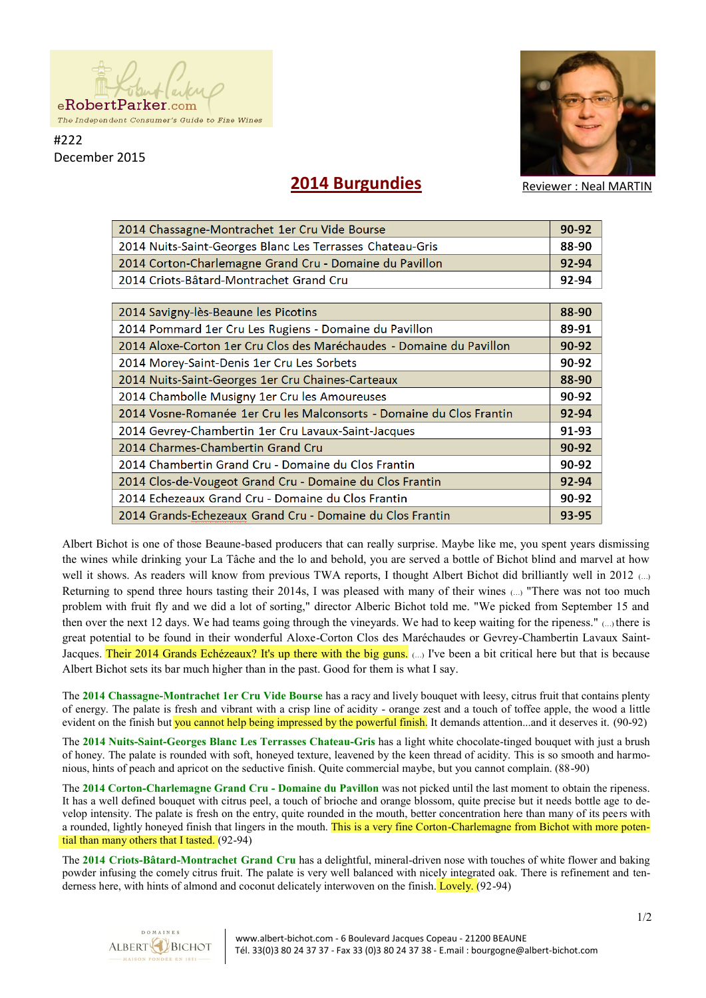

#222 December 2015



**2014 Burgundies**

Reviewer : Neal MARTIN

| 2014 Chassagne-Montrachet 1er Cru Vide Bourse                        | 90-92     |
|----------------------------------------------------------------------|-----------|
| 2014 Nuits-Saint-Georges Blanc Les Terrasses Chateau-Gris            | 88-90     |
| 2014 Corton-Charlemagne Grand Cru - Domaine du Pavillon              | 92-94     |
| 2014 Criots-Bâtard-Montrachet Grand Cru                              | 92-94     |
|                                                                      |           |
| 2014 Savigny-lès-Beaune les Picotins                                 | 88-90     |
| 2014 Pommard 1er Cru Les Rugiens - Domaine du Pavillon               | 89-91     |
| 2014 Aloxe-Corton 1er Cru Clos des Maréchaudes - Domaine du Pavillon | $90 - 92$ |
| 2014 Morey-Saint-Denis 1er Cru Les Sorbets                           | 90-92     |
| 2014 Nuits-Saint-Georges 1er Cru Chaines-Carteaux                    | 88-90     |
| 2014 Chambolle Musigny 1er Cru les Amoureuses                        | 90-92     |
| 2014 Vosne-Romanée 1er Cru les Malconsorts - Domaine du Clos Frantin | 92-94     |
| 2014 Gevrey-Chambertin 1er Cru Lavaux-Saint-Jacques                  | 91-93     |
| 2014 Charmes-Chambertin Grand Cru                                    | 90-92     |
| 2014 Chambertin Grand Cru - Domaine du Clos Frantin                  | 90-92     |
| 2014 Clos-de-Vougeot Grand Cru - Domaine du Clos Frantin             | 92-94     |
| 2014 Echezeaux Grand Cru - Domaine du Clos Frantin                   | 90-92     |
| 2014 Grands-Echezeaux Grand Cru - Domaine du Clos Frantin            | 93-95     |

Albert Bichot is one of those Beaune-based producers that can really surprise. Maybe like me, you spent years dismissing the wines while drinking your La Tâche and the lo and behold, you are served a bottle of Bichot blind and marvel at how well it shows. As readers will know from previous TWA reports, I thought Albert Bichot did brilliantly well in 2012 (...) Returning to spend three hours tasting their 2014s, I was pleased with many of their wines (…) "There was not too much problem with fruit fly and we did a lot of sorting," director Alberic Bichot told me. "We picked from September 15 and then over the next 12 days. We had teams going through the vineyards. We had to keep waiting for the ripeness." (…) there is great potential to be found in their wonderful Aloxe-Corton Clos des Maréchaudes or Gevrey-Chambertin Lavaux Saint-Jacques. Their 2014 Grands Echézeaux? It's up there with the big guns. (...) I've been a bit critical here but that is because Albert Bichot sets its bar much higher than in the past. Good for them is what I say.

The **2014 Chassagne-Montrachet 1er Cru Vide Bourse** has a racy and lively bouquet with leesy, citrus fruit that contains plenty of energy. The palate is fresh and vibrant with a crisp line of acidity - orange zest and a touch of toffee apple, the wood a little evident on the finish but you cannot help being impressed by the powerful finish. It demands attention...and it deserves it. (90-92)

The **2014 Nuits-Saint-Georges Blanc Les Terrasses Chateau-Gris** has a light white chocolate-tinged bouquet with just a brush of honey. The palate is rounded with soft, honeyed texture, leavened by the keen thread of acidity. This is so smooth and harmonious, hints of peach and apricot on the seductive finish. Quite commercial maybe, but you cannot complain. (88-90)

The **2014 Corton-Charlemagne Grand Cru - Domaine du Pavillon** was not picked until the last moment to obtain the ripeness. It has a well defined bouquet with citrus peel, a touch of brioche and orange blossom, quite precise but it needs bottle age to develop intensity. The palate is fresh on the entry, quite rounded in the mouth, better concentration here than many of its peers with a rounded, lightly honeyed finish that lingers in the mouth. This is a very fine Corton-Charlemagne from Bichot with more potential than many others that I tasted. (92-94)

The **2014 Criots-Bâtard-Montrachet Grand Cru** has a delightful, mineral-driven nose with touches of white flower and baking powder infusing the comely citrus fruit. The palate is very well balanced with nicely integrated oak. There is refinement and tenderness here, with hints of almond and coconut delicately interwoven on the finish. Lovely. (92-94)